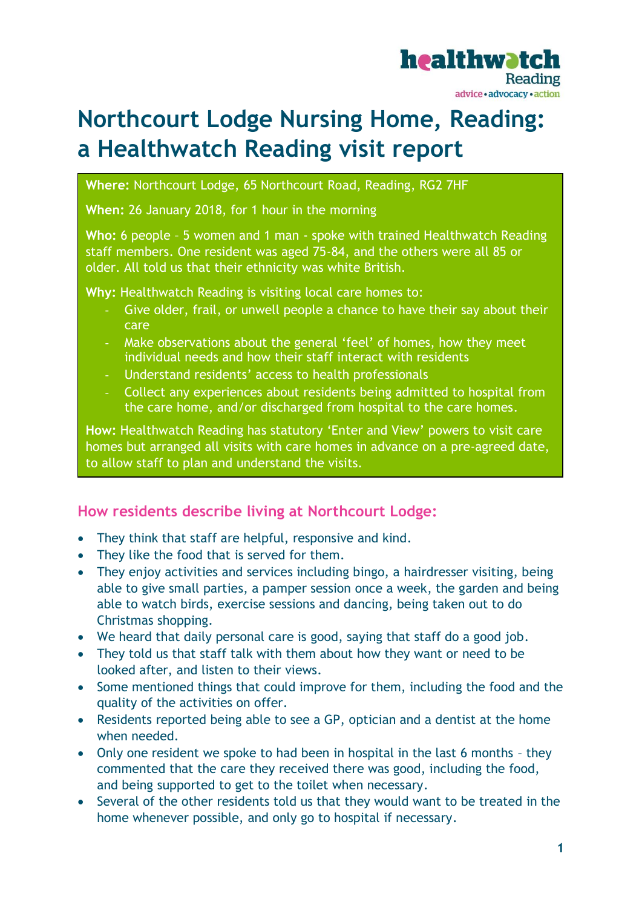

# **Northcourt Lodge Nursing Home, Reading: a Healthwatch Reading visit report**

**Where:** Northcourt Lodge, 65 Northcourt Road, Reading, RG2 7HF

**When:** 26 January 2018, for 1 hour in the morning

**Who:** 6 people – 5 women and 1 man - spoke with trained Healthwatch Reading staff members. One resident was aged 75-84, and the others were all 85 or older. All told us that their ethnicity was white British.

**Why:** Healthwatch Reading is visiting local care homes to:

- Give older, frail, or unwell people a chance to have their say about their care
- Make observations about the general 'feel' of homes, how they meet individual needs and how their staff interact with residents
- Understand residents' access to health professionals
- Collect any experiences about residents being admitted to hospital from the care home, and/or discharged from hospital to the care homes.

**How:** Healthwatch Reading has statutory 'Enter and View' powers to visit care homes but arranged all visits with care homes in advance on a pre-agreed date, to allow staff to plan and understand the visits.

## **How residents describe living at Northcourt Lodge:**

- They think that staff are helpful, responsive and kind.
- They like the food that is served for them.
- They enjoy activities and services including bingo, a hairdresser visiting, being able to give small parties, a pamper session once a week, the garden and being able to watch birds, exercise sessions and dancing, being taken out to do Christmas shopping.
- We heard that daily personal care is good, saying that staff do a good job.
- They told us that staff talk with them about how they want or need to be looked after, and listen to their views.
- Some mentioned things that could improve for them, including the food and the quality of the activities on offer.
- Residents reported being able to see a GP, optician and a dentist at the home when needed.
- Only one resident we spoke to had been in hospital in the last 6 months they commented that the care they received there was good, including the food, and being supported to get to the toilet when necessary.
- Several of the other residents told us that they would want to be treated in the home whenever possible, and only go to hospital if necessary.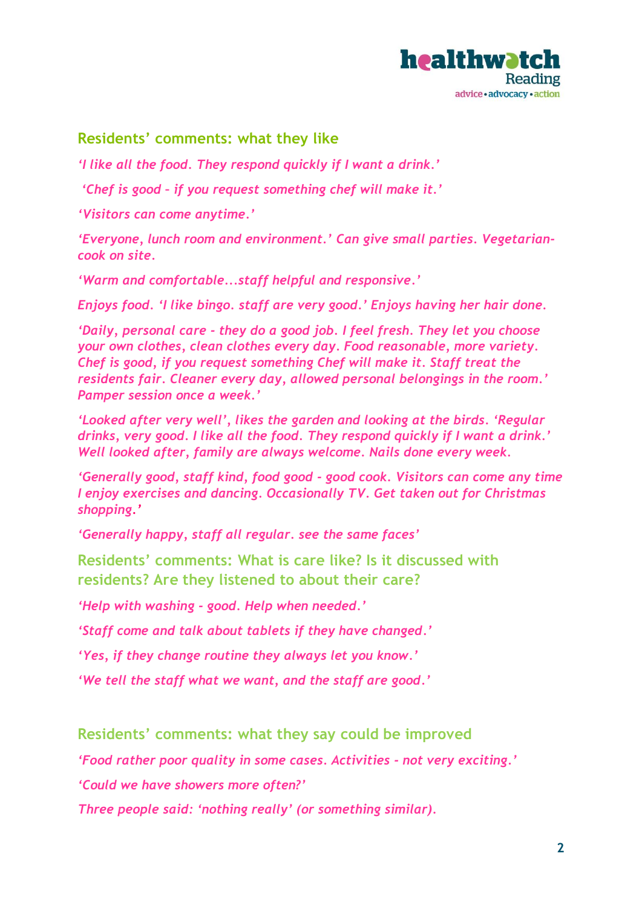

## **Residents' comments: what they like**

*'I like all the food. They respond quickly if I want a drink.'* 

*'Chef is good – if you request something chef will make it.'* 

*'Visitors can come anytime.'*

*'Everyone, lunch room and environment.' Can give small parties. Vegetariancook on site.*

*'Warm and comfortable...staff helpful and responsive.'*

*Enjoys food. 'I like bingo. staff are very good.' Enjoys having her hair done.*

*'Daily, personal care - they do a good job. I feel fresh. They let you choose your own clothes, clean clothes every day. Food reasonable, more variety. Chef is good, if you request something Chef will make it. Staff treat the residents fair. Cleaner every day, allowed personal belongings in the room.' Pamper session once a week.'*

*'Looked after very well', likes the garden and looking at the birds. 'Regular drinks, very good. I like all the food. They respond quickly if I want a drink.' Well looked after, family are always welcome. Nails done every week.*

*'Generally good, staff kind, food good - good cook. Visitors can come any time I enjoy exercises and dancing. Occasionally TV. Get taken out for Christmas shopping.'*

*'Generally happy, staff all regular. see the same faces'*

**Residents' comments: What is care like? Is it discussed with residents? Are they listened to about their care?**

*'Help with washing - good. Help when needed.'*

*'Staff come and talk about tablets if they have changed.'*

*'Yes, if they change routine they always let you know.'* 

*'We tell the staff what we want, and the staff are good.'*

**Residents' comments: what they say could be improved**

*'Food rather poor quality in some cases. Activities - not very exciting.'*

*'Could we have showers more often?'*

*Three people said: 'nothing really' (or something similar).*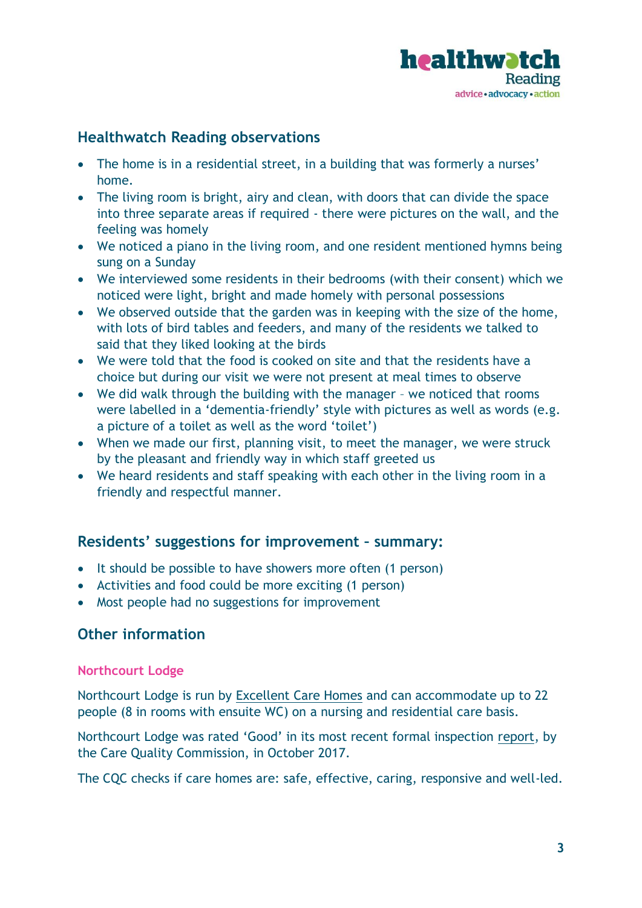

## **Healthwatch Reading observations**

- The home is in a residential street, in a building that was formerly a nurses' home.
- The living room is bright, airy and clean, with doors that can divide the space into three separate areas if required - there were pictures on the wall, and the feeling was homely
- We noticed a piano in the living room, and one resident mentioned hymns being sung on a Sunday
- We interviewed some residents in their bedrooms (with their consent) which we noticed were light, bright and made homely with personal possessions
- We observed outside that the garden was in keeping with the size of the home, with lots of bird tables and feeders, and many of the residents we talked to said that they liked looking at the birds
- We were told that the food is cooked on site and that the residents have a choice but during our visit we were not present at meal times to observe
- We did walk through the building with the manager we noticed that rooms were labelled in a 'dementia-friendly' style with pictures as well as words (e.g. a picture of a toilet as well as the word 'toilet')
- When we made our first, planning visit, to meet the manager, we were struck by the pleasant and friendly way in which staff greeted us
- We heard residents and staff speaking with each other in the living room in a friendly and respectful manner.

#### **Residents' suggestions for improvement – summary:**

- It should be possible to have showers more often (1 person)
- Activities and food could be more exciting (1 person)
- Most people had no suggestions for improvement

#### **Other information**

#### **Northcourt Lodge**

Northcourt Lodge is run by [Excellent Care Homes](https://www.carehome.co.uk/carehome.cfm/searchazref/20001019NORA) and can accommodate up to 22 people (8 in rooms with ensuite WC) on a nursing and residential care basis.

Northcourt Lodge was rated 'Good' in its most recent formal inspection [report,](http://www.cqc.org.uk/location/1-132759073) by the Care Quality Commission, in October 2017.

The CQC checks if care homes are: safe, effective, caring, responsive and well-led.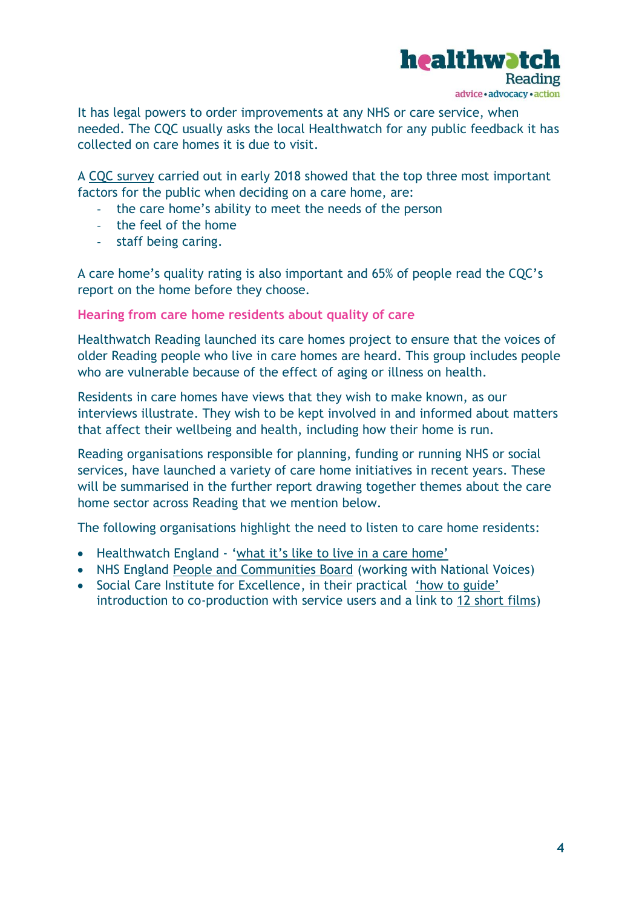

It has legal powers to order improvements at any NHS or care service, when needed. The CQC usually asks the local Healthwatch for any public feedback it has collected on care homes it is due to visit.

A [CQC survey](https://www.cqc.org.uk/help-advice/your-stories/care-aware) carried out in early 2018 showed that the top three most important factors for the public when deciding on a care home, are:

- the care home's ability to meet the needs of the person
- the feel of the home
- staff being caring.

A care home's quality rating is also important and 65% of people read the CQC's report on the home before they choose.

**Hearing from care home residents about quality of care**

Healthwatch Reading launched its care homes project to ensure that the voices of older Reading people who live in care homes are heard. This group includes people who are vulnerable because of the effect of aging or illness on health.

Residents in care homes have views that they wish to make known, as our interviews illustrate. They wish to be kept involved in and informed about matters that affect their wellbeing and health, including how their home is run.

Reading organisations responsible for planning, funding or running NHS or social services, have launched a variety of care home initiatives in recent years. These will be summarised in the further report drawing together themes about the care home sector across Reading that we mention below.

The following organisations highlight the need to listen to care home residents:

- Healthwatch England ['what it's like to live in a care home'](https://www.healthwatch.co.uk/care-homes)
- NHS England [People and Communities Board](https://www.nationalvoices.org.uk/publications/our-publications/six-principles-engaging-people-and-communities) (working with National Voices)
- Social Care Institute for Excellence, in their practical ['how to guide'](https://www.scie.org.uk/publications/guides/guide51/) introduction to co-production with service users and a link to [12 short films\)](https://www.scie.org.uk/publications/guides/guide51/resources.asp)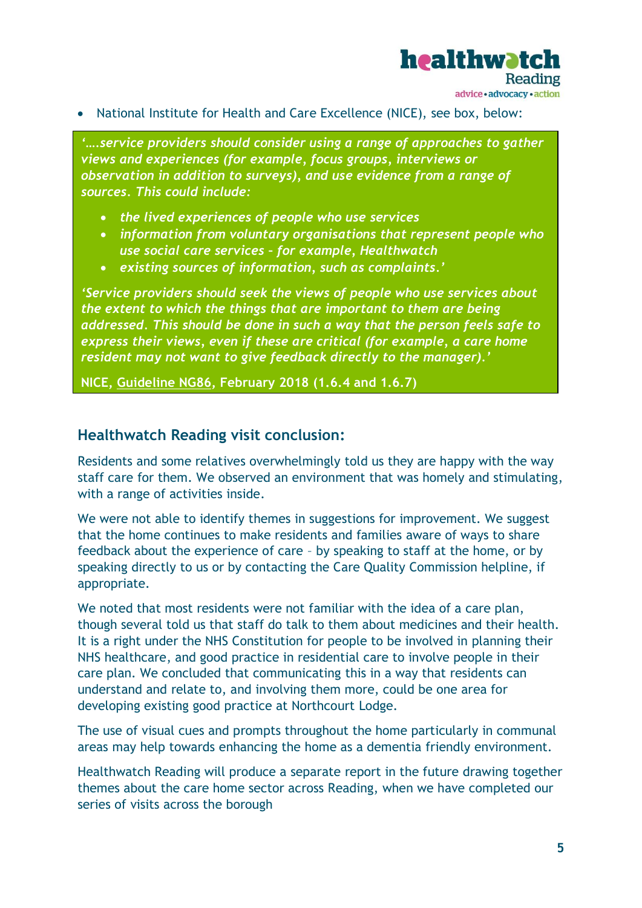

• National Institute for Health and Care Excellence (NICE), see box, below:

*'….service providers should consider using a range of approaches to gather views and experiences (for example, focus groups, interviews or observation in addition to surveys), and use evidence from a range of sources. This could include:*

- *the lived experiences of people who use services*
- *information from voluntary organisations that represent people who use social care services – for example, Healthwatch*
- *existing sources of information, such as complaints.'*

*'Service providers should seek the views of people who use services about the extent to which the things that are important to them are being addressed. This should be done in such a way that the person feels safe to express their views, even if these are critical (for example, a care home resident may not want to give feedback directly to the manager).'*

**NICE, [Guideline NG86,](https://www.nice.org.uk/guidance/ng86/chapter/Recommendations#involving-people-in-service-design-and-improvement) February 2018 (1.6.4 and 1.6.7)**

#### **Healthwatch Reading visit conclusion:**

Residents and some relatives overwhelmingly told us they are happy with the way staff care for them. We observed an environment that was homely and stimulating, with a range of activities inside.

We were not able to identify themes in suggestions for improvement. We suggest that the home continues to make residents and families aware of ways to share feedback about the experience of care – by speaking to staff at the home, or by speaking directly to us or by contacting the Care Quality Commission helpline, if appropriate.

We noted that most residents were not familiar with the idea of a care plan, though several told us that staff do talk to them about medicines and their health. It is a right under the NHS Constitution for people to be involved in planning their NHS healthcare, and good practice in residential care to involve people in their care plan. We concluded that communicating this in a way that residents can understand and relate to, and involving them more, could be one area for developing existing good practice at Northcourt Lodge.

The use of visual cues and prompts throughout the home particularly in communal areas may help towards enhancing the home as a dementia friendly environment.

Healthwatch Reading will produce a separate report in the future drawing together themes about the care home sector across Reading, when we have completed our series of visits across the borough